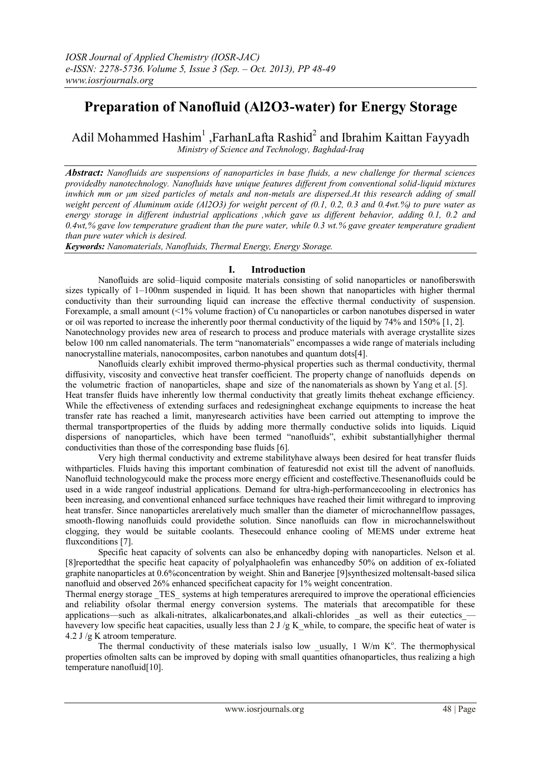# **Preparation of Nanofluid (Al2O3-water) for Energy Storage**

Adil Mohammed Hashim<sup>1</sup>, FarhanLafta Rashid<sup>2</sup> and Ibrahim Kaittan Fayyadh *Ministry of Science and Technology, Baghdad-Iraq*

*Abstract: Nanofluids are suspensions of nanoparticles in base fluids, a new challenge for thermal sciences providedby nanotechnology. Nanofluids have unique features different from conventional solid-liquid mixtures inwhich mm or μm sized particles of metals and non-metals are dispersed.At this research adding of small weight percent of Aluminum oxide (Al2O3) for weight percent of (0.1, 0.2, 0.3 and 0.4wt.%) to pure water as energy storage in different industrial applications ,which gave us different behavior, adding 0.1, 0.2 and 0.4wt,% gave low temperature gradient than the pure water, while 0.3 wt.% gave greater temperature gradient than pure water which is desired.*

*Keywords: Nanomaterials, Nanofluids, Thermal Energy, Energy Storage.*

## **I. Introduction**

Nanofluids are solid–liquid composite materials consisting of solid nanoparticles or nanofiberswith sizes typically of 1–100nm suspended in liquid. It has been shown that nanoparticles with higher thermal conductivity than their surrounding liquid can increase the effective thermal conductivity of suspension. Forexample, a small amount (<1% volume fraction) of Cu nanoparticles or carbon nanotubes dispersed in water or oil was reported to increase the inherently poor thermal conductivity of the liquid by 74% and 150% [1, 2]. Nanotechnology provides new area of research to process and produce materials with average crystallite sizes below 100 nm called nanomaterials. The term "nanomaterials" encompasses a wide range of materials including nanocrystalline materials, nanocomposites, carbon nanotubes and quantum dots[4].

Nanofluids clearly exhibit improved thermo-physical properties such as thermal conductivity, thermal diffusivity, viscosity and convective heat transfer coefficient. The property change of nanofluids depends on the volumetric fraction of nanoparticles, shape and size of the nanomaterials as shown by Yang et al. [5]. Heat transfer fluids have inherently low thermal conductivity that greatly limits theheat exchange efficiency. While the effectiveness of extending surfaces and redesigningheat exchange equipments to increase the heat transfer rate has reached a limit, manyresearch activities have been carried out attempting to improve the thermal transportproperties of the fluids by adding more thermally conductive solids into liquids. Liquid dispersions of nanoparticles, which have been termed "nanofluids", exhibit substantiallyhigher thermal conductivities than those of the corresponding base fluids [6].

Very high thermal conductivity and extreme stabilityhave always been desired for heat transfer fluids withparticles. Fluids having this important combination of featuresdid not exist till the advent of nanofluids. Nanofluid technologycould make the process more energy efficient and costeffective.Thesenanofluids could be used in a wide rangeof industrial applications. Demand for ultra-high-performancecooling in electronics has been increasing, and conventional enhanced surface techniques have reached their limit withregard to improving heat transfer. Since nanoparticles arerelatively much smaller than the diameter of microchannelflow passages, smooth-flowing nanofluids could providethe solution. Since nanofluids can flow in microchannelswithout clogging, they would be suitable coolants. Thesecould enhance cooling of MEMS under extreme heat fluxconditions [7].

Specific heat capacity of solvents can also be enhancedby doping with nanoparticles. Nelson et al. [8]reportedthat the specific heat capacity of polyalphaolefin was enhancedby 50% on addition of ex-foliated graphite nanoparticles at 0.6%concentration by weight. Shin and Banerjee [9]synthesized moltensalt-based silica nanofluid and observed 26% enhanced specificheat capacity for 1% weight concentration.

Thermal energy storage \_TES\_ systems at high temperatures arerequired to improve the operational efficiencies and reliability ofsolar thermal energy conversion systems. The materials that arecompatible for these applications—such as alkali-nitrates, alkalicarbonates,and alkali-chlorides as well as their eutectics havevery low specific heat capacities, usually less than 2 J/g K\_while, to compare, the specific heat of water is 4.2 J /g K atroom temperature.

The thermal conductivity of these materials isalso low \_usually,  $1 \text{ W/m } K^{\circ}$ . The thermophysical properties ofmolten salts can be improved by doping with small quantities ofnanoparticles, thus realizing a high temperature nanofluid[10].